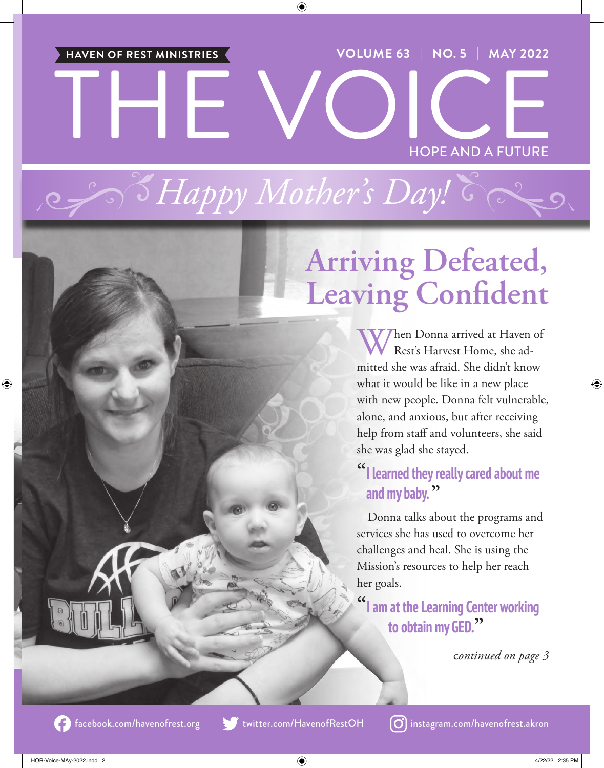THE VOICE **VOLUME 63** | **NO. 5** | **MAY 2022** HOPE AND A FUTURE **HAVEN OF REST MINISTRIES**

*Happy Mother's Day!*

# **Arriving Defeated, Leaving Confident**

Then Donna arrived at Haven of Rest's Harvest Home, she admitted she was afraid. She didn't know what it would be like in a new place with new people. Donna felt vulnerable, alone, and anxious, but after receiving help from staff and volunteers, she said she was glad she stayed.

### **"I learned they really cared about me and my baby. "**

Donna talks about the programs and services she has used to overcome her challenges and heal. She is using the Mission's resources to help her reach her goals.

**"I am at the Learning Center working to obtain my GED."**

c*ontinued on page 3*



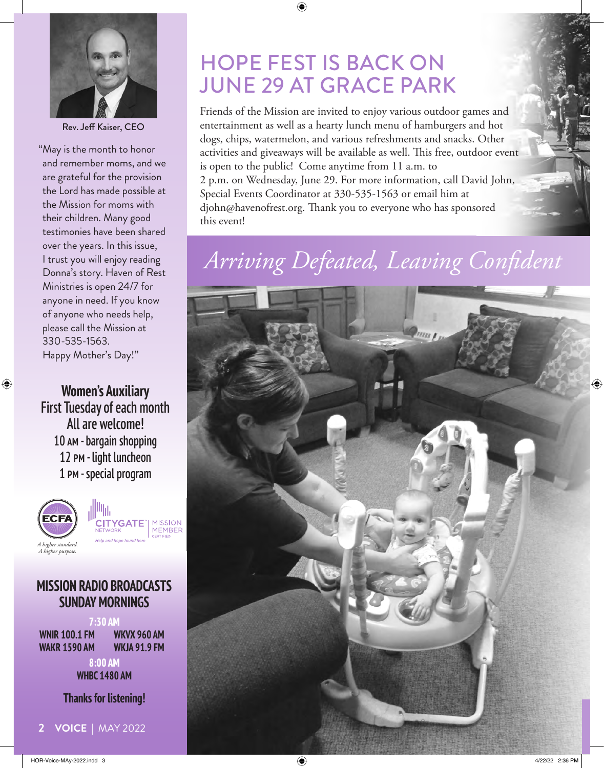

Rev. Jeff Kaiser, CEO

"May is the month to honor and remember moms, and we are grateful for the provision the Lord has made possible at the Mission for moms with their children. Many good testimonies have been shared over the years. In this issue, I trust you will enjoy reading Donna's story. Haven of Rest Ministries is open 24/7 for anyone in need. If you know of anyone who needs help, please call the Mission at 330-535-1563. Happy Mother's Day!"

**Women's Auxiliary** First Tuesday of each month All are welcome! 10 am - bargain shopping 12 pm - light luncheon 1 pm - special program



#### **MISSION RADIO BROADCASTS SUNDAY MORNINGS**

**7:30 AM**

**WNIR 100.1 FM WAKR 1590 AM** **WKVX 960 AM WKJA 91.9 FM**

**8:00 AM WHBC 1480 AM**

**Thanks for listening!**

# HOPE FEST IS BACK ON JUNE 29 AT GRACE PARK

Friends of the Mission are invited to enjoy various outdoor games and entertainment as well as a hearty lunch menu of hamburgers and hot dogs, chips, watermelon, and various refreshments and snacks. Other activities and giveaways will be available as well. This free, outdoor event is open to the public! Come anytime from 11 a.m. to 2 p.m. on Wednesday, June 29. For more information, call David John, Special Events Coordinator at 330-535-1563 or email him at djohn@havenofrest.org. Thank you to everyone who has sponsored this event!

# *Arriving Defeated, Leaving Confident*

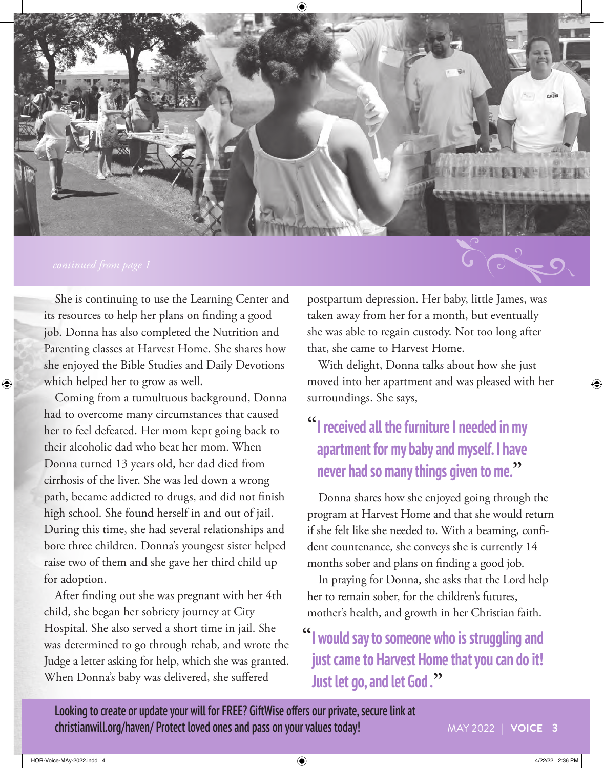

She is continuing to use the Learning Center and its resources to help her plans on finding a good job. Donna has also completed the Nutrition and Parenting classes at Harvest Home. She shares how she enjoyed the Bible Studies and Daily Devotions which helped her to grow as well.

Coming from a tumultuous background, Donna had to overcome many circumstances that caused her to feel defeated. Her mom kept going back to their alcoholic dad who beat her mom. When Donna turned 13 years old, her dad died from cirrhosis of the liver. She was led down a wrong path, became addicted to drugs, and did not finish high school. She found herself in and out of jail. During this time, she had several relationships and bore three children. Donna's youngest sister helped raise two of them and she gave her third child up for adoption.

After finding out she was pregnant with her 4th child, she began her sobriety journey at City Hospital. She also served a short time in jail. She was determined to go through rehab, and wrote the Judge a letter asking for help, which she was granted. When Donna's baby was delivered, she suffered

postpartum depression. Her baby, little James, was taken away from her for a month, but eventually she was able to regain custody. Not too long after that, she came to Harvest Home.

With delight, Donna talks about how she just moved into her apartment and was pleased with her surroundings. She says,

## **"I received all the furniture I needed in my apartment for my baby and myself. I have never had so many things given to me."**

Donna shares how she enjoyed going through the program at Harvest Home and that she would return if she felt like she needed to. With a beaming, confident countenance, she conveys she is currently 14 months sober and plans on finding a good job.

In praying for Donna, she asks that the Lord help her to remain sober, for the children's futures, mother's health, and growth in her Christian faith.

## **"I would say to someone who is struggling and just came to Harvest Home that you can do it! Just let go, and let God ."**

Looking to create or update your will for FREE? GiftWise offers our private, secure link at christianwill.org/haven/ Protect loved ones and pass on your values today!